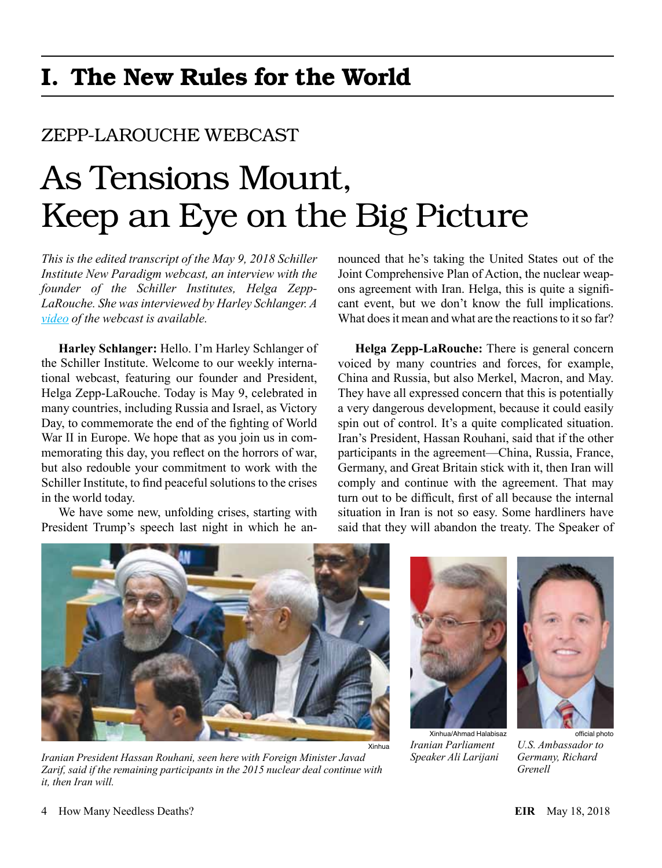# I. The New Rules for the World

## ZEPP-LAROUCHE WEBCAST

# As Tensions Mount, Keep an Eye on the Big Picture

*This is the edited transcript of the May 9, 2018 Schiller Institute New Paradigm webcast, an interview with the founder of the Schiller Institutes, Helga Zepp-LaRouche. She was interviewed by Harley Schlanger. A [video](http://newparadigm.schillerinstitute.com/blog/2018/05/09/webcast-as-tensions-mount-keep-an-eye-on-the-big-picture/) of the webcast is available.*

**Harley Schlanger:** Hello. I'm Harley Schlanger of the Schiller Institute. Welcome to our weekly international webcast, featuring our founder and President, Helga Zepp-LaRouche. Today is May 9, celebrated in many countries, including Russia and Israel, as Victory Day, to commemorate the end of the fighting of World War II in Europe. We hope that as you join us in commemorating this day, you reflect on the horrors of war, but also redouble your commitment to work with the Schiller Institute, to find peaceful solutions to the crises in the world today.

We have some new, unfolding crises, starting with President Trump's speech last night in which he announced that he's taking the United States out of the Joint Comprehensive Plan of Action, the nuclear weapons agreement with Iran. Helga, this is quite a significant event, but we don't know the full implications. What does it mean and what are the reactions to it so far?

**Helga Zepp-LaRouche:** There is general concern voiced by many countries and forces, for example, China and Russia, but also Merkel, Macron, and May. They have all expressed concern that this is potentially a very dangerous development, because it could easily spin out of control. It's a quite complicated situation. Iran's President, Hassan Rouhani, said that if the other participants in the agreement—China, Russia, France, Germany, and Great Britain stick with it, then Iran will comply and continue with the agreement. That may turn out to be difficult, first of all because the internal situation in Iran is not so easy. Some hardliners have said that they will abandon the treaty. The Speaker of



*Iranian President Hassan Rouhani, seen here with Foreign Minister Javad Zarif, said if the remaining participants in the 2015 nuclear deal continue with it, then Iran will.*



Xinhua/Ahmad Halabisaz *Iranian Parliament Speaker Ali Larijani*



*U.S. Ambassador to Germany, Richard Grenell*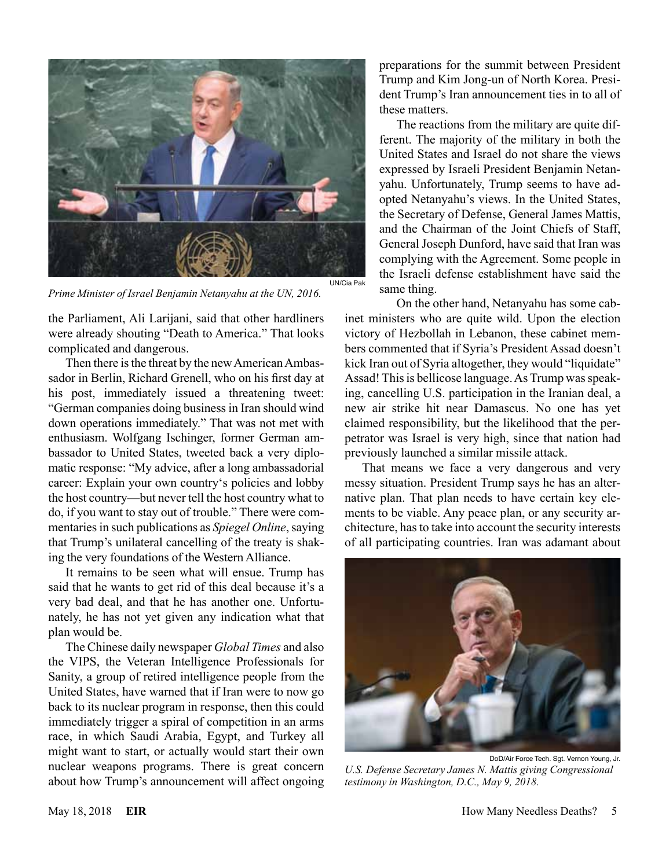

*Prime Minister of Israel Benjamin Netanyahu at the UN, 2016.*

the Parliament, Ali Larijani, said that other hardliners were already shouting "Death to America." That looks complicated and dangerous.

Then there is the threat by the new American Ambassador in Berlin, Richard Grenell, who on his first day at his post, immediately issued a threatening tweet: "German companies doing business in Iran should wind down operations immediately." That was not met with enthusiasm. Wolfgang Ischinger, former German ambassador to United States, tweeted back a very diplomatic response: "My advice, after a long ambassadorial career: Explain your own country's policies and lobby the host country—but never tell the host country what to do, if you want to stay out of trouble." There were commentaries in such publications as *Spiegel Online*, saying that Trump's unilateral cancelling of the treaty is shaking the very foundations of the Western Alliance.

It remains to be seen what will ensue. Trump has said that he wants to get rid of this deal because it's a very bad deal, and that he has another one. Unfortunately, he has not yet given any indication what that plan would be.

The Chinese daily newspaper *Global Times* and also the VIPS, the Veteran Intelligence Professionals for Sanity, a group of retired intelligence people from the United States, have warned that if Iran were to now go back to its nuclear program in response, then this could immediately trigger a spiral of competition in an arms race, in which Saudi Arabia, Egypt, and Turkey all might want to start, or actually would start their own nuclear weapons programs. There is great concern about how Trump's announcement will affect ongoing preparations for the summit between President Trump and Kim Jong-un of North Korea. President Trump's Iran announcement ties in to all of these matters.

The reactions from the military are quite different. The majority of the military in both the United States and Israel do not share the views expressed by Israeli President Benjamin Netanyahu. Unfortunately, Trump seems to have adopted Netanyahu's views. In the United States, the Secretary of Defense, General James Mattis, and the Chairman of the Joint Chiefs of Staff, General Joseph Dunford, have said that Iran was complying with the Agreement. Some people in the Israeli defense establishment have said the same thing.

On the other hand, Netanyahu has some cabinet ministers who are quite wild. Upon the election victory of Hezbollah in Lebanon, these cabinet members commented that if Syria's President Assad doesn't kick Iran out of Syria altogether, they would "liquidate" Assad! This is bellicose language. As Trump was speaking, cancelling U.S. participation in the Iranian deal, a new air strike hit near Damascus. No one has yet claimed responsibility, but the likelihood that the perpetrator was Israel is very high, since that nation had previously launched a similar missile attack.

That means we face a very dangerous and very messy situation. President Trump says he has an alternative plan. That plan needs to have certain key elements to be viable. Any peace plan, or any security architecture, has to take into account the security interests of all participating countries. Iran was adamant about



DoD/Air Force Tech. Sgt. Vernon Young, Jr. *U.S. Defense Secretary James N. Mattis giving Congressional testimony in Washington, D.C., May 9, 2018.*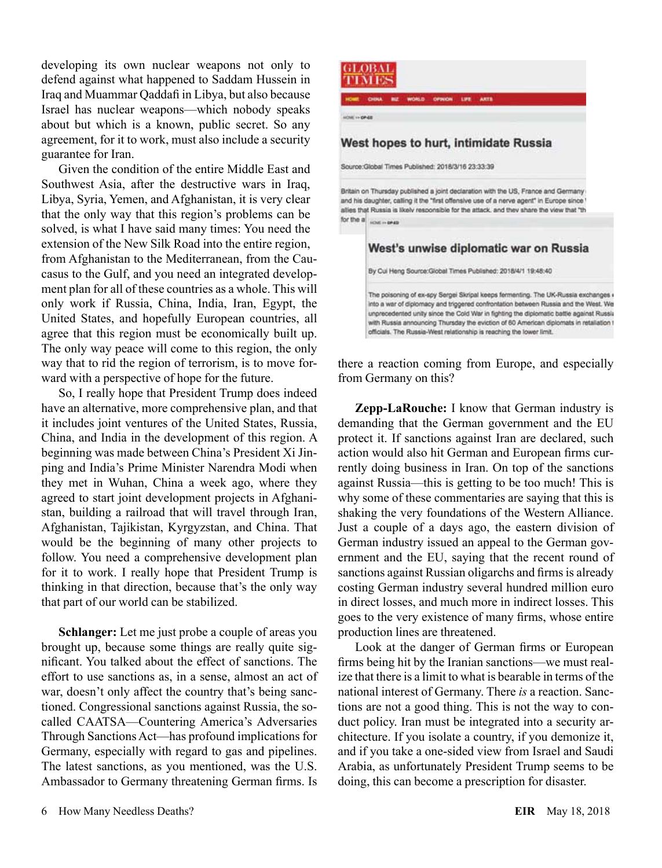developing its own nuclear weapons not only to defend against what happened to Saddam Hussein in Iraq and Muammar Qaddafi in Libya, but also because Israel has nuclear weapons—which nobody speaks about but which is a known, public secret. So any agreement, for it to work, must also include a security guarantee for Iran.

Given the condition of the entire Middle East and Southwest Asia, after the destructive wars in Iraq, Libya, Syria, Yemen, and Afghanistan, it is very clear that the only way that this region's problems can be solved, is what I have said many times: You need the extension of the New Silk Road into the entire region, from Afghanistan to the Mediterranean, from the Caucasus to the Gulf, and you need an integrated development plan for all of these countries as a whole. This will only work if Russia, China, India, Iran, Egypt, the United States, and hopefully European countries, all agree that this region must be economically built up. The only way peace will come to this region, the only way that to rid the region of terrorism, is to move forward with a perspective of hope for the future.

So, I really hope that President Trump does indeed have an alternative, more comprehensive plan, and that it includes joint ventures of the United States, Russia, China, and India in the development of this region. A beginning was made between China's President Xi Jinping and India's Prime Minister Narendra Modi when they met in Wuhan, China a week ago, where they agreed to start joint development projects in Afghanistan, building a railroad that will travel through Iran, Afghanistan, Tajikistan, Kyrgyzstan, and China. That would be the beginning of many other projects to follow. You need a comprehensive development plan for it to work. I really hope that President Trump is thinking in that direction, because that's the only way that part of our world can be stabilized.

**Schlanger:** Let me just probe a couple of areas you brought up, because some things are really quite significant. You talked about the effect of sanctions. The effort to use sanctions as, in a sense, almost an act of war, doesn't only affect the country that's being sanctioned. Congressional sanctions against Russia, the socalled CAATSA—Countering America's Adversaries Through Sanctions Act—has profound implications for Germany, especially with regard to gas and pipelines. The latest sanctions, as you mentioned, was the U.S. Ambassador to Germany threatening German firms. Is



GLOBAL гіме

there a reaction coming from Europe, and especially from Germany on this?

**Zepp-LaRouche:** I know that German industry is demanding that the German government and the EU protect it. If sanctions against Iran are declared, such action would also hit German and European firms currently doing business in Iran. On top of the sanctions against Russia—this is getting to be too much! This is why some of these commentaries are saying that this is shaking the very foundations of the Western Alliance. Just a couple of a days ago, the eastern division of German industry issued an appeal to the German government and the EU, saying that the recent round of sanctions against Russian oligarchs and firms is already costing German industry several hundred million euro in direct losses, and much more in indirect losses. This goes to the very existence of many firms, whose entire production lines are threatened.

Look at the danger of German firms or European firms being hit by the Iranian sanctions—we must realize that there is a limit to what is bearable in terms of the national interest of Germany. There *is* a reaction. Sanctions are not a good thing. This is not the way to conduct policy. Iran must be integrated into a security architecture. If you isolate a country, if you demonize it, and if you take a one-sided view from Israel and Saudi Arabia, as unfortunately President Trump seems to be doing, this can become a prescription for disaster.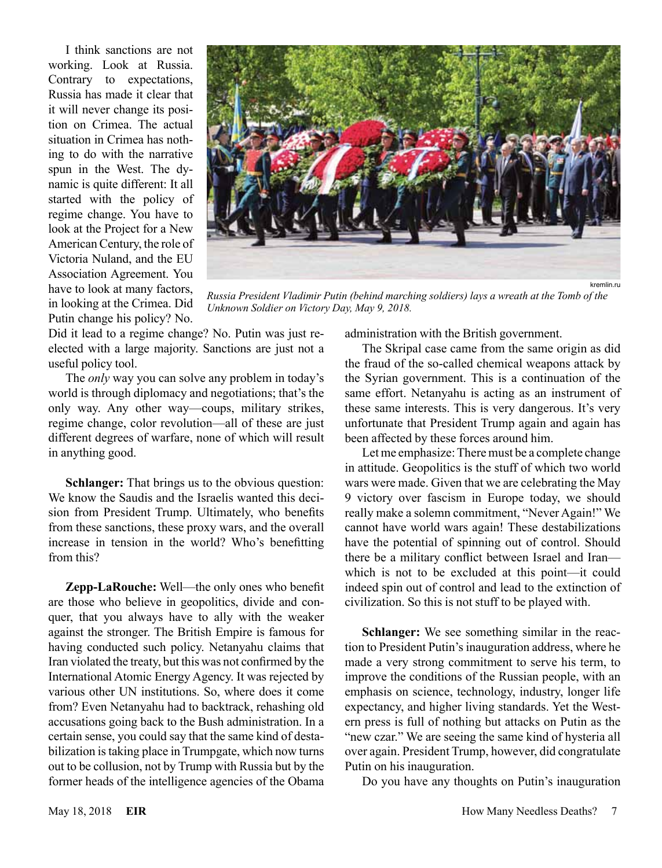I think sanctions are not working. Look at Russia. Contrary to expectations, Russia has made it clear that it will never change its position on Crimea. The actual situation in Crimea has nothing to do with the narrative spun in the West. The dynamic is quite different: It all started with the policy of regime change. You have to look at the Project for a New American Century, the role of Victoria Nuland, and the EU Association Agreement. You have to look at many factors, in looking at the Crimea. Did Putin change his policy? No.



*Russia President Vladimir Putin (behind marching soldiers) lays a wreath at the Tomb of the Unknown Soldier on Victory Day, May 9, 2018.*

Did it lead to a regime change? No. Putin was just reelected with a large majority. Sanctions are just not a useful policy tool.

The *only* way you can solve any problem in today's world is through diplomacy and negotiations; that's the only way. Any other way—coups, military strikes, regime change, color revolution—all of these are just different degrees of warfare, none of which will result in anything good.

**Schlanger:** That brings us to the obvious question: We know the Saudis and the Israelis wanted this decision from President Trump. Ultimately, who benefits from these sanctions, these proxy wars, and the overall increase in tension in the world? Who's benefitting from this?

**Zepp-LaRouche:** Well—the only ones who benefit are those who believe in geopolitics, divide and conquer, that you always have to ally with the weaker against the stronger. The British Empire is famous for having conducted such policy. Netanyahu claims that Iran violated the treaty, but this was not confirmed by the International Atomic Energy Agency. It was rejected by various other UN institutions. So, where does it come from? Even Netanyahu had to backtrack, rehashing old accusations going back to the Bush administration. In a certain sense, you could say that the same kind of destabilization is taking place in Trumpgate, which now turns out to be collusion, not by Trump with Russia but by the former heads of the intelligence agencies of the Obama

administration with the British government.

The Skripal case came from the same origin as did the fraud of the so-called chemical weapons attack by the Syrian government. This is a continuation of the same effort. Netanyahu is acting as an instrument of these same interests. This is very dangerous. It's very unfortunate that President Trump again and again has been affected by these forces around him.

Let me emphasize: There must be a complete change in attitude. Geopolitics is the stuff of which two world wars were made. Given that we are celebrating the May 9 victory over fascism in Europe today, we should really make a solemn commitment, "Never Again!" We cannot have world wars again! These destabilizations have the potential of spinning out of control. Should there be a military conflict between Israel and Iran which is not to be excluded at this point—it could indeed spin out of control and lead to the extinction of civilization. So this is not stuff to be played with.

**Schlanger:** We see something similar in the reaction to President Putin's inauguration address, where he made a very strong commitment to serve his term, to improve the conditions of the Russian people, with an emphasis on science, technology, industry, longer life expectancy, and higher living standards. Yet the Western press is full of nothing but attacks on Putin as the "new czar." We are seeing the same kind of hysteria all over again. President Trump, however, did congratulate Putin on his inauguration.

Do you have any thoughts on Putin's inauguration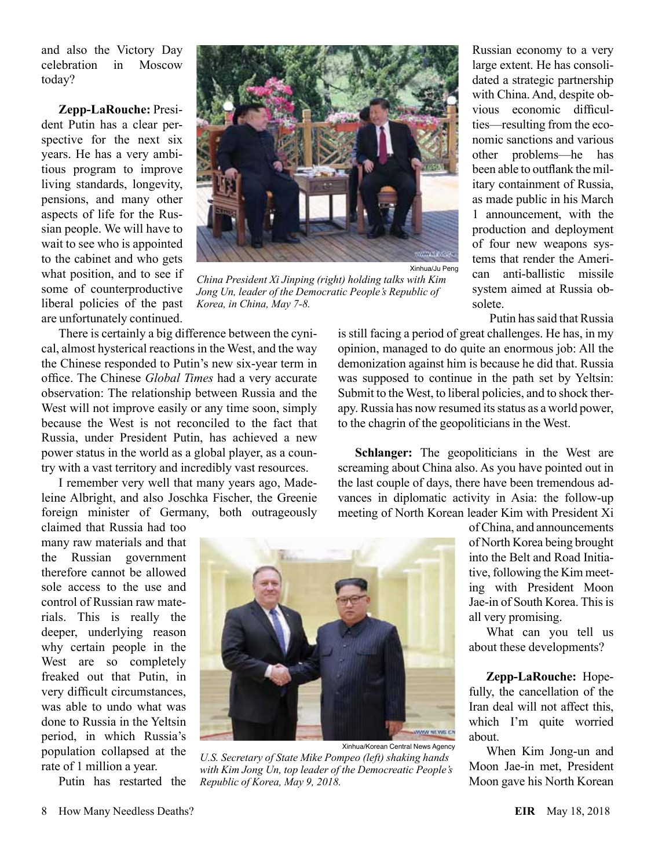and also the Victory Day celebration in Moscow today?

**Zepp-LaRouche:** President Putin has a clear perspective for the next six years. He has a very ambitious program to improve living standards, longevity, pensions, and many other aspects of life for the Russian people. We will have to wait to see who is appointed to the cabinet and who gets what position, and to see if some of counterproductive liberal policies of the past are unfortunately continued.



*China President Xi Jinping (right) holding talks with Kim Jong Un, leader of the Democratic People's Republic of Korea, in China, May 7-8.*

There is certainly a big difference between the cynical, almost hysterical reactions in the West, and the way the Chinese responded to Putin's new six-year term in office. The Chinese *Global Times* had a very accurate observation: The relationship between Russia and the West will not improve easily or any time soon, simply because the West is not reconciled to the fact that Russia, under President Putin, has achieved a new power status in the world as a global player, as a country with a vast territory and incredibly vast resources.

I remember very well that many years ago, Madeleine Albright, and also Joschka Fischer, the Greenie foreign minister of Germany, both outrageously

claimed that Russia had too many raw materials and that the Russian government therefore cannot be allowed sole access to the use and control of Russian raw materials. This is really the deeper, underlying reason why certain people in the West are so completely freaked out that Putin, in very difficult circumstances, was able to undo what was done to Russia in the Yeltsin period, in which Russia's population collapsed at the rate of 1 million a year.

Putin has restarted the



*U.S. Secretary of State Mike Pompeo (left) shaking hands with Kim Jong Un, top leader of the Democreatic People's Republic of Korea, May 9, 2018.*

Russian economy to a very large extent. He has consolidated a strategic partnership with China. And, despite obvious economic difficulties—resulting from the economic sanctions and various other problems—he has been able to outflank the military containment of Russia, as made public in his March 1 announcement, with the production and deployment of four new weapons systems that render the American anti-ballistic missile system aimed at Russia obsolete.

Putin has said that Russia

is still facing a period of great challenges. He has, in my opinion, managed to do quite an enormous job: All the demonization against him is because he did that. Russia was supposed to continue in the path set by Yeltsin: Submit to the West, to liberal policies, and to shock therapy. Russia has now resumed its status as a world power, to the chagrin of the geopoliticians in the West.

**Schlanger:** The geopoliticians in the West are screaming about China also. As you have pointed out in the last couple of days, there have been tremendous advances in diplomatic activity in Asia: the follow-up meeting of North Korean leader Kim with President Xi

> of China, and announcements of North Korea being brought into the Belt and Road Initiative, following the Kim meeting with President Moon Jae-in of South Korea. This is all very promising.

> What can you tell us about these developments?

> **Zepp-LaRouche:** Hopefully, the cancellation of the Iran deal will not affect this, which I'm quite worried about.

> When Kim Jong-un and Moon Jae-in met, President Moon gave his North Korean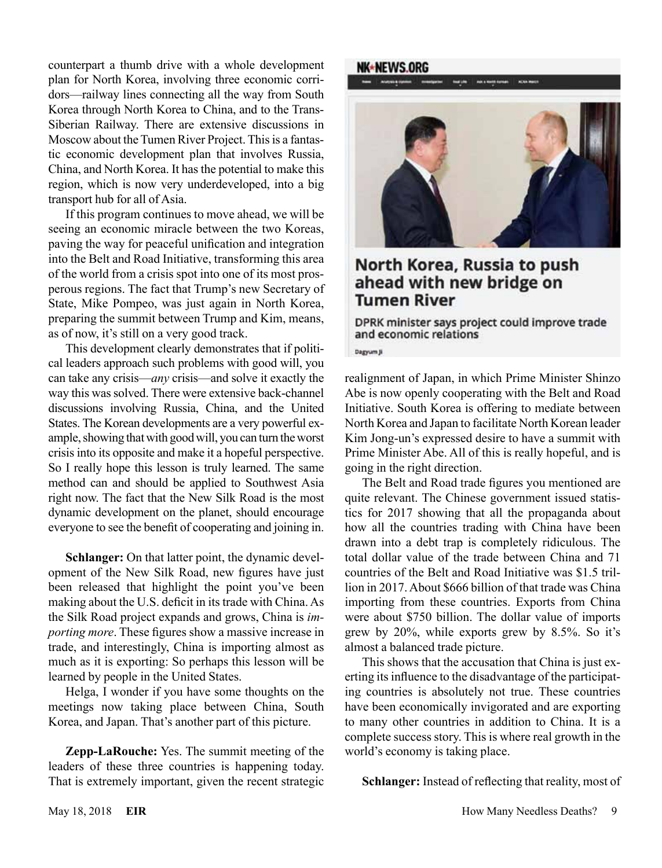counterpart a thumb drive with a whole development plan for North Korea, involving three economic corridors—railway lines connecting all the way from South Korea through North Korea to China, and to the Trans-Siberian Railway. There are extensive discussions in Moscow about the Tumen River Project. This is a fantastic economic development plan that involves Russia, China, and North Korea. It has the potential to make this region, which is now very underdeveloped, into a big transport hub for all of Asia.

If this program continues to move ahead, we will be seeing an economic miracle between the two Koreas, paving the way for peaceful unification and integration into the Belt and Road Initiative, transforming this area of the world from a crisis spot into one of its most prosperous regions. The fact that Trump's new Secretary of State, Mike Pompeo, was just again in North Korea, preparing the summit between Trump and Kim, means, as of now, it's still on a very good track.

This development clearly demonstrates that if political leaders approach such problems with good will, you can take any crisis—*any* crisis—and solve it exactly the way this was solved. There were extensive back-channel discussions involving Russia, China, and the United States. The Korean developments are a very powerful example, showing that with good will, you can turn the worst crisis into its opposite and make it a hopeful perspective. So I really hope this lesson is truly learned. The same method can and should be applied to Southwest Asia right now. The fact that the New Silk Road is the most dynamic development on the planet, should encourage everyone to see the benefit of cooperating and joining in.

**Schlanger:** On that latter point, the dynamic development of the New Silk Road, new figures have just been released that highlight the point you've been making about the U.S. deficit in its trade with China. As the Silk Road project expands and grows, China is *importing more*. These figures show a massive increase in trade, and interestingly, China is importing almost as much as it is exporting: So perhaps this lesson will be learned by people in the United States.

Helga, I wonder if you have some thoughts on the meetings now taking place between China, South Korea, and Japan. That's another part of this picture.

**Zepp-LaRouche:** Yes. The summit meeting of the leaders of these three countries is happening today. That is extremely important, given the recent strategic

#### NK∗NEWS.ORG



### North Korea, Russia to push ahead with new bridge on **Tumen River**

DPRK minister says project could improve trade and economic relations

Dagyum Ji

realignment of Japan, in which Prime Minister Shinzo Abe is now openly cooperating with the Belt and Road Initiative. South Korea is offering to mediate between North Korea and Japan to facilitate North Korean leader Kim Jong-un's expressed desire to have a summit with Prime Minister Abe. All of this is really hopeful, and is going in the right direction.

The Belt and Road trade figures you mentioned are quite relevant. The Chinese government issued statistics for 2017 showing that all the propaganda about how all the countries trading with China have been drawn into a debt trap is completely ridiculous. The total dollar value of the trade between China and 71 countries of the Belt and Road Initiative was \$1.5 trillion in 2017. About \$666 billion of that trade was China importing from these countries. Exports from China were about \$750 billion. The dollar value of imports grew by 20%, while exports grew by 8.5%. So it's almost a balanced trade picture.

This shows that the accusation that China is just exerting its influence to the disadvantage of the participating countries is absolutely not true. These countries have been economically invigorated and are exporting to many other countries in addition to China. It is a complete success story. This is where real growth in the world's economy is taking place.

**Schlanger:** Instead of reflecting that reality, most of